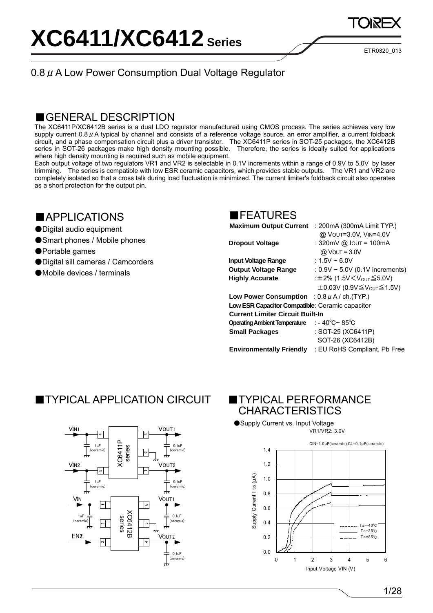ETR0320\_013

### 0.8  $\mu$  A Low Power Consumption Dual Voltage Regulator

### ■GENERAL DESCRIPTION

The XC6411P/XC6412B series is a dual LDO regulator manufactured using CMOS process. The series achieves very low supply current  $0.8 \mu$  A typical by channel and consists of a reference voltage source, an error amplifier, a current foldback circuit, and a phase compensation circuit plus a driver transistor. The XC6411P series in SOT-25 packages, the XC6412B series in SOT-26 packages make high density mounting possible. Therefore, the series is ideally suited for applications where high density mounting is required such as mobile equipment.

Each output voltage of two regulators VR1 and VR2 is selectable in 0.1V increments within a range of 0.9V to 5.0V by laser trimming. The series is compatible with low ESR ceramic capacitors, which provides stable outputs. The VR1 and VR2 are completely isolated so that a cross talk during load fluctuation is minimized. The current limiter's foldback circuit also operates as a short protection for the output pin.

### ■APPLICATIONS

- ●Digital audio equipment
- ●Smart phones / Mobile phones
- ●Portable games
- ●Digital sill cameras / Camcorders
- ●Mobile devices / terminals

### ■FEATURES

| <b>Maximum Output Current</b>                         | : 200mA (300mA Limit TYP.)                             |
|-------------------------------------------------------|--------------------------------------------------------|
|                                                       | @ VOUT=3.0V, VIN=4.0V                                  |
| <b>Dropout Voltage</b>                                | : 320mV @ Iout = 100mA                                 |
|                                                       | $@$ Vout = 3.0V                                        |
| <b>Input Voltage Range</b>                            | : 1.5V ~ 6.0V                                          |
| <b>Output Voltage Range</b>                           | : $0.9V \sim 5.0V$ (0.1V increments)                   |
| <b>Highly Accurate</b>                                | :±2% (1.5V $\leq$ V <sub>OUT</sub> $\leq$ 5.0V)        |
|                                                       | $\pm 0.03V$ (0.9V $\leq$ V <sub>OUT</sub> $\leq$ 1.5V) |
| <b>Low Power Consumption</b> : $0.8 \mu$ A/ch. (TYP.) |                                                        |
| Low ESR Capacitor Compatible: Ceramic capacitor       |                                                        |
| <b>Current Limiter Circuit Built-In</b>               |                                                        |
| <b>Operating Ambient Temperature</b>                  | : - 40℃~ 85℃                                           |
| <b>Small Packages</b>                                 | : SOT-25 (XC6411P)                                     |
|                                                       | SOT-26 (XC6412B)                                       |
| <b>Environmentally Friendly</b>                       | : EU RoHS Compliant, Pb Free                           |

## **TYPICAL APPLICATION CIRCUIT**



### **TYPICAL PERFORMANCE** CHARACTERISTICS

●Supply Current vs. Input Voltage VR1/VR2: 3.0V



1/28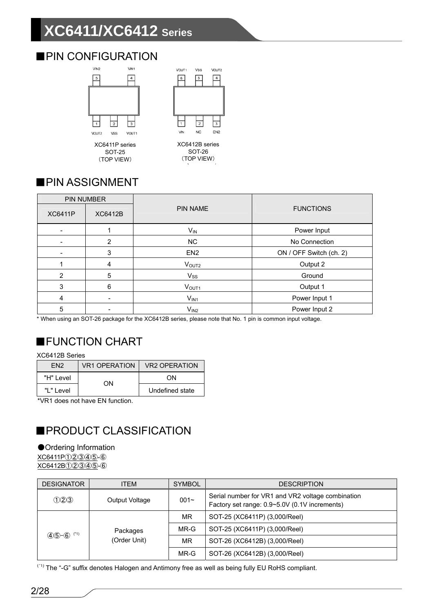# **XC6411/XC6412 Series**

## ■PIN CONFIGURATION



(TOP VIEW)

 $\overline{6}$  $\sqrt{5}$  $\boxed{4}$  $\overline{z}$ ╦  $\overline{\mathbf{3}}$ N<sub>C</sub> EN<sub>2</sub> **V<sub>N</sub>** XC6412B series

Vss

VOUT2

VOUT1

SOT-26 (TOP VIEW)

## ■PIN ASSIGNMENT

| <b>PIN NUMBER</b> |                |                   |                         |
|-------------------|----------------|-------------------|-------------------------|
| <b>XC6411P</b>    | <b>XC6412B</b> | <b>PIN NAME</b>   | <b>FUNCTIONS</b>        |
|                   |                | $V_{IN}$          | Power Input             |
|                   | $\overline{2}$ | <b>NC</b>         | No Connection           |
|                   | 3              | EN <sub>2</sub>   | ON / OFF Switch (ch. 2) |
|                   | 4              | V <sub>OUT2</sub> | Output 2                |
| $\overline{2}$    | 5              | $V_{SS}$          | Ground                  |
| 3                 | 6              | VOUT <sub>1</sub> | Output 1                |
| $\overline{4}$    |                | $V_{IN1}$         | Power Input 1           |
| 5                 |                | V <sub>IN2</sub>  | Power Input 2           |

\* When using an SOT-26 package for the XC6412B series, please note that No. 1 pin is common input voltage.

## ■FUNCTION CHART

XC6412B Series

| FN <sub>2</sub> | <b>VR1 OPERATION</b> | <b>VR2 OPERATION</b> |
|-----------------|----------------------|----------------------|
| "H" Level       | OΝ                   | ΩN                   |
| "L" Level       |                      | Undefined state      |

\*VR1 does not have EN function.

## ■PRODUCT CLASSIFICATION

### ●Ordering Information

XC6411P①②③④⑤-⑥ XC6412B①②③④⑤-⑥

| <b>DESIGNATOR</b> | <b>ITEM</b>              | <b>SYMBOL</b> | <b>DESCRIPTION</b>                                                                                 |
|-------------------|--------------------------|---------------|----------------------------------------------------------------------------------------------------|
| (1)23             | Output Voltage           | $001 -$       | Serial number for VR1 and VR2 voltage combination<br>Factory set range: 0.9~5.0V (0.1V increments) |
|                   |                          | MR.           | SOT-25 (XC6411P) (3,000/Reel)                                                                      |
| $45 - 6$<br>(*1)  | Packages<br>(Order Unit) | MR-G          | SOT-25 (XC6411P) (3,000/Reel)                                                                      |
|                   |                          | MR.           | SOT-26 (XC6412B) (3,000/Reel)                                                                      |
|                   |                          | MR-G          | SOT-26 (XC6412B) (3,000/Reel)                                                                      |

<sup>(\*1)</sup> The "-G" suffix denotes Halogen and Antimony free as well as being fully EU RoHS compliant.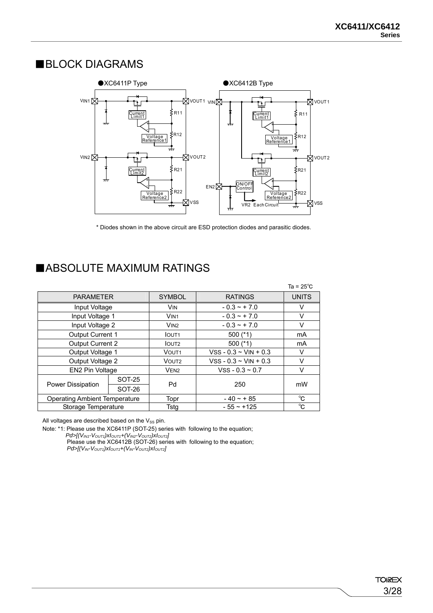### ■BLOCK DIAGRAMS



\* Diodes shown in the above circuit are ESD protection diodes and parasitic diodes. 、

### ■ABSOLUTE MAXIMUM RATINGS

|                                      |               |                     |                            | Ta = $25^{\circ}$ C |
|--------------------------------------|---------------|---------------------|----------------------------|---------------------|
| <b>PARAMETER</b>                     |               | <b>SYMBOL</b>       | <b>RATINGS</b>             | <b>UNITS</b>        |
| Input Voltage                        |               | <b>VIN</b>          | $-0.3 - +7.0$              | V                   |
| Input Voltage 1                      |               | VIN <sub>1</sub>    | $-0.3 - +7.0$              | v                   |
| Input Voltage 2                      |               | $V$ IN <sub>2</sub> | $-0.3 - +7.0$              | V                   |
| Output Current 1                     |               | <b>IOUT1</b>        | 500 $(*1)$                 | mA                  |
| <b>Output Current 2</b>              |               | <b>IOUT2</b>        | 500 $(*1)$                 | mA                  |
| Output Voltage 1                     |               | VOUT <sub>1</sub>   | $VSS - 0.3 - VIN + 0.3$    | V                   |
| Output Voltage 2                     |               | VOUT <sub>2</sub>   | $VSS - 0.3 \sim VIN + 0.3$ | V                   |
| EN2 Pin Voltage                      |               | VEN <sub>2</sub>    | $VSS - 0.3 - 0.7$          | V                   |
|                                      | <b>SOT-25</b> |                     |                            |                     |
| Power Dissipation                    | SOT-26        | Pd                  | 250                        | mW                  |
| <b>Operating Ambient Temperature</b> |               | Topr                | $-40 - + 85$               | °C                  |
| Storage Temperature                  |               | Tstg                | $-55 - +125$               | °C                  |

All voltages are described based on the  $V_{SS}$  pin.

Note: \*1: Please use the XC6411P (SOT-25) series with following to the equation;

*Pd>[(VIN1-VOUT1)xIOUT1+(VIN2-VOUT2)xIOUT2]*

Please use the XC6412B (SOT-26) series with following to the equation;

 $Pd$  >[( $V_{IN}$ - $V_{OUT1}$ ) $xI_{OUT1}$ +( $V_{IN}$ - $V_{OUT2}$ ) $xI_{OUT2}$ ]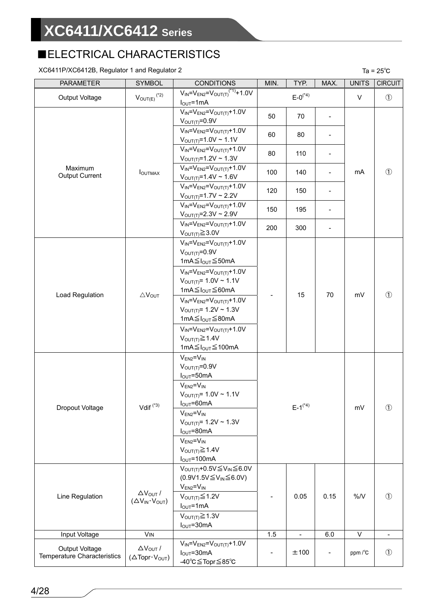## ■ELECTRICAL CHARACTERISTICS

### $XC6411P/XC6412B$ , Regulator 1 and Regulator 2 Ta = 25<sup>°</sup>C

| <b>PARAMETER</b>                                     | <b>SYMBOL</b>                                                           | <b>CONDITIONS</b>                                                                                                                             | MIN.<br>TYP.<br>MAX. |                          |      | <b>UNITS</b> | <b>CIRCUIT</b> |
|------------------------------------------------------|-------------------------------------------------------------------------|-----------------------------------------------------------------------------------------------------------------------------------------------|----------------------|--------------------------|------|--------------|----------------|
| Output Voltage                                       | $V_{\text{OUT}(E)}$ $\overset{(^*2)}{ }$                                | $V_{IN} = V_{EN2} = V_{OUT(T)}^{(1)} + 1.0V$<br>$I_{OUT} = 1mA$                                                                               |                      | $E - 0^{(*4)}$           |      | $\vee$       | $\circled{1}$  |
|                                                      |                                                                         | $V_{IN} = V_{EN2} = V_{OUT(T)} + 1.0V$<br>$VOUT(T)=0.9V$                                                                                      | 50                   | 70                       |      |              |                |
|                                                      |                                                                         | $V_{IN} = V_{EN2} = V_{OUT(T)} + 1.0V$<br>$V_{OUT(T)} = 1.0V \sim 1.1V$                                                                       | 60                   | 80                       |      |              |                |
|                                                      |                                                                         | $V_{IN} = V_{EN2} = V_{OUT(T)} + 1.0V$<br>$V_{\text{OUT(T)}} = 1.2V \sim 1.3V$                                                                | 80                   | 110                      |      |              |                |
| Maximum<br>Output Current                            | <b>I</b> OUTMAX                                                         | $V_{IN} = V_{EN2} = V_{OUT(T)} + 1.0V$<br>$V_{OUT(T)} = 1.4V \sim 1.6V$                                                                       | 100                  | 140                      |      | mA           | $\circled{1}$  |
|                                                      |                                                                         | $V_{IN} = V_{EN2} = V_{OUT(T)} + 1.0V$<br>$V_{\text{OUT(T)}} = 1.7V \approx 2.2V$                                                             | 120                  | 150                      |      |              |                |
|                                                      |                                                                         | $V_{IN} = V_{EN2} = V_{OUT(T)} + 1.0V$<br>$V_{\text{OUT(T)}} = 2.3V \approx 2.9V$                                                             | 150                  | 195                      |      |              |                |
|                                                      |                                                                         | $V_{IN} = V_{EN2} = V_{OUT(T)} + 1.0V$<br>$V_{\text{OUT}(T)} \geq 3.0V$                                                                       | 200                  | 300                      |      |              |                |
|                                                      |                                                                         | $V_{IN} = V_{EN2} = V_{OUT(T)} + 1.0V$<br>$VOUT(T)=0.9V$<br>1mA $\leq$ I <sub>OUT</sub> $\leq$ 50mA<br>$V_{IN} = V_{EN2} = V_{OUT(T)} + 1.0V$ |                      |                          |      |              |                |
|                                                      |                                                                         | $V_{\text{OUT(T)}} = 1.0 V \sim 1.1 V$<br>1mA≦I <sub>OUT</sub> ≤60mA                                                                          |                      | 15                       | 70   | mV           | $\circled{1}$  |
| Load Regulation                                      | $\triangle V_{OUT}$                                                     | $V_{IN} = V_{EN2} = V_{OUT(T)} + 1.0V$<br>$V_{\text{OUT(T)}} = 1.2V \sim 1.3V$<br>1mA≦ $I_{OUT}$ ≤80mA                                        |                      |                          |      |              |                |
|                                                      |                                                                         | $V_{IN} = V_{EN2} = V_{OUT(T)} + 1.0V$<br>$V_{\text{OUT(T)}} \geq 1.4V$<br>1mA $≤$ I <sub>OUT</sub> $≤$ 100mA                                 |                      |                          |      |              |                |
|                                                      |                                                                         | $V_{EN2} = V_{IN}$<br>$V_{\text{OUT(T)}} = 0.9V$<br>$I_{\text{OUT}} = 50 \text{mA}$                                                           |                      |                          |      |              |                |
| Dropout Voltage                                      | Vdif $(3)$                                                              | $V_{EN2} = V_{IN}$<br>$V_{OUT(T)} = 1.0V \sim 1.1V$<br>$I_{\text{OUT}} = 60 \text{mA}$                                                        |                      | $E-1^{(*4)}$             |      | mV           | $\circled{1}$  |
|                                                      |                                                                         | $V_{EN2} = V_{IN}$<br>$V_{\text{OUT(T)}} = 1.2V \sim 1.3V$<br>$I_{\text{OUT}} = 80 \text{mA}$                                                 |                      |                          |      |              |                |
|                                                      |                                                                         | $V_{EN2} = V_{IN}$<br>$V_{OUT(T)} \geq 1.4V$<br>$I_{OUT} = 100mA$                                                                             |                      |                          |      |              |                |
|                                                      |                                                                         | $V_{\text{OUT(T)}} + 0.5V \leq V_{\text{IN}} \leq 6.0V$<br>$(0.9V1.5V \leq V_{IN} \leq 6.0V)$                                                 |                      |                          |      |              |                |
| Line Regulation                                      | $\Delta V_{OUT}$ /<br>$(\Delta V_{IN} \cdot V_{OUT})$                   | $V_{EN2} = V_{IN}$<br>$V_{\text{OUT(T)}}{\leq}1.2V$<br>$I_{OUT} = 1mA$                                                                        |                      | 0.05                     | 0.15 | %N           | $\circled{1}$  |
|                                                      |                                                                         | $V_{\text{OUT(T)}} \geq 1.3V$<br>$I_{\text{OUT}} = 30 \text{mA}$                                                                              |                      |                          |      |              |                |
| Input Voltage                                        | <b>VIN</b>                                                              |                                                                                                                                               | 1.5                  | $\overline{\phantom{a}}$ | 6.0  | $\vee$       |                |
| Output Voltage<br><b>Temperature Characteristics</b> | $\Delta V_{\text{OUT}}/$<br>$(\Delta \text{Topr} \cdot V_{\text{OUT}})$ | $V_{IN} = V_{EN2} = V_{OUT(T)} + 1.0V$<br>$I_{OUT} = 30mA$<br>-40°C≦Topr≦85°C                                                                 |                      | ±100                     |      | ppm /°C      | $\circled{1}$  |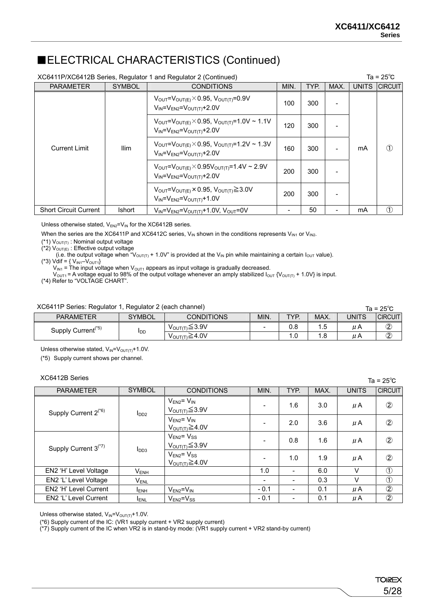### ■ELECTRICAL CHARACTERISTICS (Continued)

| XC6411P/XC6412B Series, Regulator 1 and Regulator 2 (Continued)<br>Ta = $25^{\circ}$ C |               |                                                                                                                                     |     |     |      |              |                 |
|----------------------------------------------------------------------------------------|---------------|-------------------------------------------------------------------------------------------------------------------------------------|-----|-----|------|--------------|-----------------|
| <b>PARAMETER</b>                                                                       | <b>SYMBOL</b> | <b>CONDITIONS</b><br>MIN.<br>TYP.                                                                                                   |     |     | MAX. | <b>UNITS</b> | <b>ICIRCUIT</b> |
|                                                                                        |               | $V_{\text{OUT}}=V_{\text{OUT(E)}}\times 0.95, V_{\text{OUT(T)}}=0.9V$<br>$V_{IN} = V_{EN2} = V_{OUT(T)} + 2.0V$                     | 100 | 300 |      |              |                 |
|                                                                                        |               | $V_{\text{OUT}} = V_{\text{OUT(E)}} \times 0.95, V_{\text{OUT(T)}} = 1.0 V \approx 1.1 V$<br>$V_{IN} = V_{EN2} = V_{OUT(T)} + 2.0V$ | 120 | 300 |      |              |                 |
| <b>Ilim</b><br><b>Current Limit</b>                                                    |               | $V_{\text{OUT}}=V_{\text{OUT/E}}\times 0.95, V_{\text{OUT(T)}}=1.2V\approx 1.3V$<br>$V_{IN} = V_{EN2} = V_{OUT(T)} + 2.0V$          | 160 | 300 |      | mA           | $\circled{1}$   |
|                                                                                        |               | $V_{\text{OUT}} = V_{\text{OUT(E)}} \times 0.95 V_{\text{OUT(T)}} = 1.4 V \approx 2.9 V$<br>$V_{IN} = V_{EN2} = V_{OUT(T)} + 2.0V$  | 200 | 300 |      |              |                 |
|                                                                                        |               | $V_{\text{OUT}}=V_{\text{OUT(E)}}\times 0.95, V_{\text{OUT(T)}}\geq 3.0V$<br>$V_{IN} = V_{EN2} = V_{OUT(T)} + 1.0V$                 | 200 | 300 |      |              |                 |
| <b>Short Circuit Current</b>                                                           | <b>Ishort</b> | $V_{IN} = V_{EN2} = V_{OUT(T)} + 1.0V$ , $V_{OUT} = 0V$                                                                             |     | 50  |      | mA           | Պ               |

Unless otherwise stated,  $V_{EN2}=V_{IN}$  for the XC6412B series.

When the series are the XC6411P and XC6412C series,  $V_{IN}$  shown in the conditions represents  $V_{IN1}$  or  $V_{IN2}$ .

 $(*1)$  V<sub>OUT(T)</sub>: Nominal output voltage

 $(*2)$  V<sub>OUT(E)</sub> : Effective output voltage

(i.e. the output voltage when "V<sub>OUT(T)</sub> + 1.0V" is provided at the V<sub>IN</sub> pin while maintaining a certain I<sub>OUT</sub> value).

(\*3) Vdif =  $\{V_{IN1} - V_{OUT1}\}$ 

 $V_{\text{IN1}}$  = The input voltage when  $V_{\text{OUT1}}$  appears as input voltage is gradually decreased.

 $V_{\text{OUT1}}$  = A voltage equal to 98% of the output voltage whenever an amply stabilized  $I_{\text{OUT}}$  {V<sub>OUT(T)</sub> + 1.0V} is input.

(\*4) Refer to "VOLTAGE CHART".

#### XC6411P Series: Regulator 1, Regulator 2 (each channel)

| XC6411P Series: Regulator 1, Regulator 2 (each channel) |               |                                |      |      |      | Ta = $25^{\circ}$ C |                |
|---------------------------------------------------------|---------------|--------------------------------|------|------|------|---------------------|----------------|
| <b>PARAMETER</b>                                        | <b>SYMBOL</b> | <b>CONDITIONS</b>              | MIN. | TYP. | MAX. | <b>UNITS</b>        | <b>CIRCUIT</b> |
| Supply Current <sup>(*5)</sup>                          |               | $V_{\text{OUT(T)}} \leq 3.9V$  | -    | 0.8  |      | uΑ                  | $\overline{2}$ |
|                                                         | <b>I</b> DD   | $V_{\text{OUT(T)}} \geq 4.0 V$ |      |      |      | uΑ                  | $^\mathcal{Q}$ |

Unless otherwise stated,  $V_{IN} = V_{OUT(T)} + 1.0V$ .

(\*5) Supply current shows per channel.

#### XC6412B Series

| XC6412B Series                   |                  |                                                     |                          |                          |      |              | Ta = $25^{\circ}$ C |
|----------------------------------|------------------|-----------------------------------------------------|--------------------------|--------------------------|------|--------------|---------------------|
| <b>PARAMETER</b>                 | <b>SYMBOL</b>    | <b>CONDITIONS</b>                                   | MIN.                     | TYP.                     | MAX. | <b>UNITS</b> | <b>CIRCUIT</b>      |
| Supply Current $2^{(*)}$         | I <sub>DD2</sub> | $V_{EN2} = V_{IN}$<br>$V_{\text{OUT}(T)}{\leq}3.9V$ | ٠                        | 1.6                      | 3.0  | $\mu$ A      | $^{\circledR}$      |
|                                  |                  | $V_{EN2} = V_{IN}$<br>$V_{\text{OUT(T)}}{\geq}4.0V$ | $\overline{\phantom{0}}$ | 2.0                      | 3.6  | $\mu$ A      | $^{\circledR}$      |
| Supply Current 3 <sup>(*7)</sup> | I <sub>DD3</sub> | $V_{EN2} = V_{SS}$<br>$V_{\text{OUT(T)}}{\leq}3.9V$ | $\overline{\phantom{0}}$ | 0.8                      | 1.6  | $\mu$ A      | $\circled{2}$       |
|                                  |                  | $V_{EN2} = V_{SS}$<br>$V_{\text{OUT(T)}}{\geq}4.0V$ | $\overline{\phantom{a}}$ | 1.0                      | 1.9  | μA           | $^{\circledR}$      |
| EN2 'H' Level Voltage            | $V_{ENH}$        |                                                     | 1.0                      | $\overline{\phantom{a}}$ | 6.0  | $\vee$       | $\circled{1}$       |
| EN2 'L' Level Voltage            | <b>VENL</b>      |                                                     | $\overline{\phantom{0}}$ | $\overline{\phantom{a}}$ | 0.3  | V            | $\circled{1}$       |
| EN2 'H' Level Current            | <b>IENH</b>      | $V_{EN2} = V_{IN}$                                  | $-0.1$                   | $\overline{\phantom{a}}$ | 0.1  | $\mu$ A      | $\overline{\circ}$  |
| EN2 'L' Level Current            | <b>ENL</b>       | $V_{FN2} = V_{SS}$                                  | $-0.1$                   | $\overline{\phantom{a}}$ | 0.1  | μA           | $\circled{2}$       |

Unless otherwise stated,  $V_{IN} = V_{OUT(T)} + 1.0V$ .

(\*6) Supply current of the IC: (VR1 supply current + VR2 supply current)

(\*7) Supply current of the IC when VR2 is in stand-by mode: (VR1 supply current + VR2 stand-by current)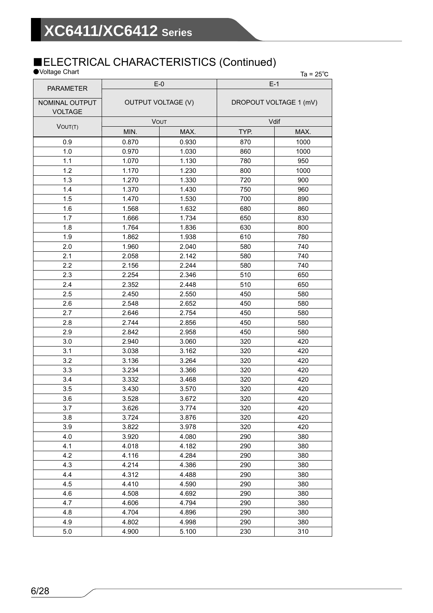### ■ELECTRICAL CHARACTERISTICS (Continued)

| ●Voltage Chart                   |                                    |       |                        | Ta = $25^{\circ}$ C |  |
|----------------------------------|------------------------------------|-------|------------------------|---------------------|--|
| <b>PARAMETER</b>                 | $E-0$<br><b>OUTPUT VOLTAGE (V)</b> |       | $E-1$                  |                     |  |
| NOMINAL OUTPUT<br><b>VOLTAGE</b> |                                    |       | DROPOUT VOLTAGE 1 (mV) |                     |  |
| VOUT(T)                          | VOUT                               |       | Vdif                   |                     |  |
|                                  | MIN.                               | MAX.  | TYP.                   | MAX.                |  |
| 0.9                              | 0.870                              | 0.930 | 870                    | 1000                |  |
| 1.0                              | 0.970                              | 1.030 | 860                    | 1000                |  |
| 1.1                              | 1.070                              | 1.130 | 780                    | 950                 |  |
| 1.2                              | 1.170                              | 1.230 | 800                    | 1000                |  |
| 1.3                              | 1.270                              | 1.330 | 720                    | 900                 |  |
| 1.4                              | 1.370                              | 1.430 | 750                    | 960                 |  |
| 1.5                              | 1.470                              | 1.530 | 700                    | 890                 |  |
| 1.6                              | 1.568                              | 1.632 | 680                    | 860                 |  |
| 1.7                              | 1.666                              | 1.734 | 650                    | 830                 |  |
| 1.8                              | 1.764                              | 1.836 | 630                    | 800                 |  |
| 1.9                              | 1.862                              | 1.938 | 610                    | 780                 |  |
| 2.0                              | 1.960                              | 2.040 | 580                    | 740                 |  |
| 2.1                              | 2.058                              | 2.142 | 580                    | 740                 |  |
| 2.2                              | 2.156                              | 2.244 | 580                    | 740                 |  |
| 2.3                              | 2.254                              | 2.346 | 510                    | 650                 |  |
| 2.4                              | 2.352                              | 2.448 | 510                    | 650                 |  |
| 2.5                              | 2.450                              | 2.550 | 450                    | 580                 |  |
| 2.6                              | 2.548                              | 2.652 | 450                    | 580                 |  |
| 2.7                              | 2.646                              | 2.754 | 450                    | 580                 |  |
| 2.8                              | 2.744                              | 2.856 | 450                    | 580                 |  |
| 2.9                              | 2.842                              | 2.958 | 450                    | 580                 |  |
| 3.0                              | 2.940                              | 3.060 | 320                    | 420                 |  |
| 3.1                              | 3.038                              | 3.162 | 320                    | 420                 |  |
| 3.2                              | 3.136                              | 3.264 | 320                    | 420                 |  |
| 3.3                              | 3.234                              | 3.366 | 320                    | 420                 |  |
| 3.4                              | 3.332                              | 3.468 | 320                    | 420                 |  |
| 3.5                              | 3.430                              | 3.570 | 320                    | 420                 |  |
| 3.6                              | 3.528                              | 3.672 | 320                    | 420                 |  |
| 3.7                              | 3.626                              | 3.774 | 320                    | 420                 |  |
| 3.8                              | 3.724                              | 3.876 | 320                    | 420                 |  |
| 3.9                              | 3.822                              | 3.978 | 320                    | 420                 |  |
| 4.0                              | 3.920                              | 4.080 | 290                    | 380                 |  |
| 4.1                              | 4.018                              | 4.182 | 290                    | 380                 |  |
| 4.2                              | 4.116                              | 4.284 | 290                    | 380                 |  |
| 4.3                              | 4.214                              | 4.386 | 290                    | 380                 |  |
| 4.4                              | 4.312                              | 4.488 | 290                    | 380                 |  |
| 4.5                              | 4.410                              | 4.590 | 290                    | 380                 |  |
| 4.6                              | 4.508                              | 4.692 | 290                    | 380                 |  |
| 4.7                              | 4.606                              | 4.794 | 290                    | 380                 |  |
| 4.8                              | 4.704                              | 4.896 | 290                    | 380                 |  |
| 4.9                              | 4.802                              | 4.998 | 290                    | 380                 |  |
| 5.0                              | 4.900                              | 5.100 | 230                    | 310                 |  |
|                                  |                                    |       |                        |                     |  |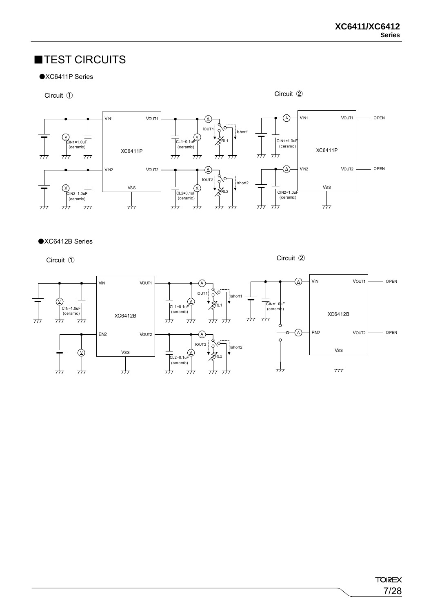### ■TEST CIRCUITS





#### ●XC6412B Series

Circuit ①

Circuit ②

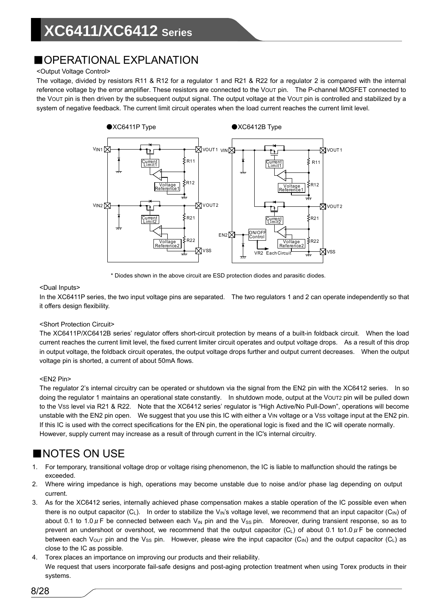## ■OPERATIONAL EXPLANATION

#### <Output Voltage Control>

The voltage, divided by resistors R11 & R12 for a regulator 1 and R21 & R22 for a regulator 2 is compared with the internal reference voltage by the error amplifier. These resistors are connected to the Vout pin. The P-channel MOSFET connected to the VOUT pin is then driven by the subsequent output signal. The output voltage at the VOUT pin is controlled and stabilized by a system of negative feedback. The current limit circuit operates when the load current reaches the current limit level.



\* Diodes shown in the above circuit are ESD protection diodes and parasitic diodes. 、

#### <Dual Inputs>

In the XC6411P series, the two input voltage pins are separated. The two regulators 1 and 2 can operate independently so that it offers design flexibility.

#### <Short Protection Circuit>

The XC6411P/XC6412B series' regulator offers short-circuit protection by means of a built-in foldback circuit. When the load current reaches the current limit level, the fixed current limiter circuit operates and output voltage drops. As a result of this drop in output voltage, the foldback circuit operates, the output voltage drops further and output current decreases. When the output voltage pin is shorted, a current of about 50mA flows.

#### <EN2 Pin>

The regulator 2's internal circuitry can be operated or shutdown via the signal from the EN2 pin with the XC6412 series. In so doing the regulator 1 maintains an operational state constantly. In shutdown mode, output at the VOUT2 pin will be pulled down to the VSS level via R21 & R22. Note that the XC6412 series' regulator is "High Active/No Pull-Down", operations will become unstable with the EN2 pin open. We suggest that you use this IC with either a VIN voltage or a Vss voltage input at the EN2 pin. If this IC is used with the correct specifications for the EN pin, the operational logic is fixed and the IC will operate normally. However, supply current may increase as a result of through current in the IC's internal circuitry.

### ■NOTES ON USE

- 1. For temporary, transitional voltage drop or voltage rising phenomenon, the IC is liable to malfunction should the ratings be exceeded.
- 2. Where wiring impedance is high, operations may become unstable due to noise and/or phase lag depending on output current.
- 3. As for the XC6412 series, internally achieved phase compensation makes a stable operation of the IC possible even when there is no output capacitor (C<sub>L</sub>). In order to stabilize the V<sub>IN</sub>'s voltage level, we recommend that an input capacitor (C<sub>IN</sub>) of about 0.1 to 1.0  $\mu$  F be connected between each V<sub>IN</sub> pin and the V<sub>SS</sub> pin. Moreover, during transient response, so as to prevent an undershoot or overshoot, we recommend that the output capacitor (C<sub>L</sub>) of about 0.1 to1.0  $\mu$ F be connected between each V<sub>OUT</sub> pin and the V<sub>SS</sub> pin. However, please wire the input capacitor (C<sub>IN</sub>) and the output capacitor (C<sub>I</sub>) as close to the IC as possible.
- 4. Torex places an importance on improving our products and their reliability. We request that users incorporate fail-safe designs and post-aging protection treatment when using Torex products in their systems.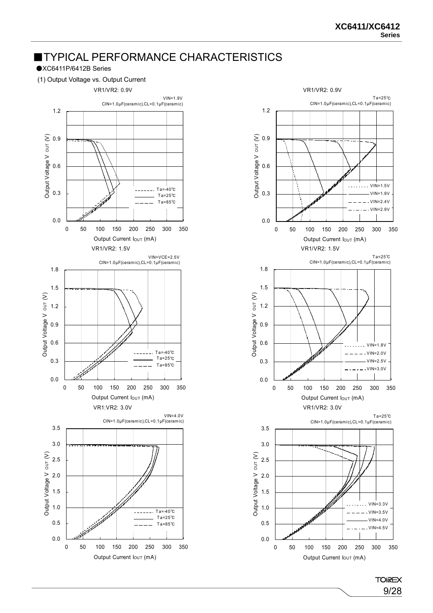### ■TYPICAL PERFORMANCE CHARACTERISTICS

### ●XC6411P/6412B Series

(1) Output Voltage vs. Output Current





**TOIREX** 9/28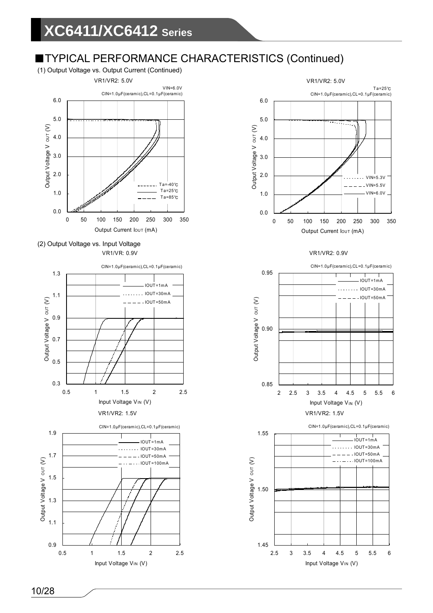(1) Output Voltage vs. Output Current (Continued)



 (2) Output Voltage vs. Input Voltage VR1/VR: 0.9V







VR1/VR2: 0.9V



CIN=1.0μF(ceramic),CL=0.1μF(ceramic)

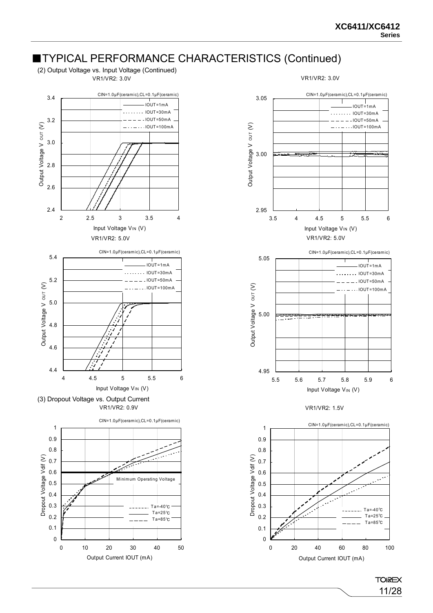

11/28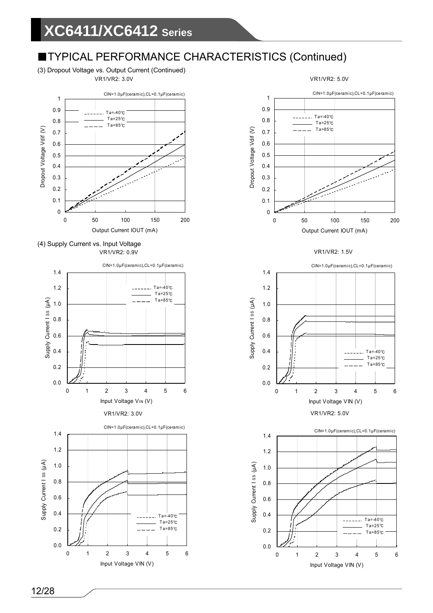(3) Dropout Voltage vs. Output Current (Continued) VR1/VR2: 3.0V



 (4) Supply Current vs. Input Voltage VR1/VR2: 0.9V





VR1/VR2: 5.0V

#### VR1/VR2: 1.5V



VR1/VR2: 5.0V

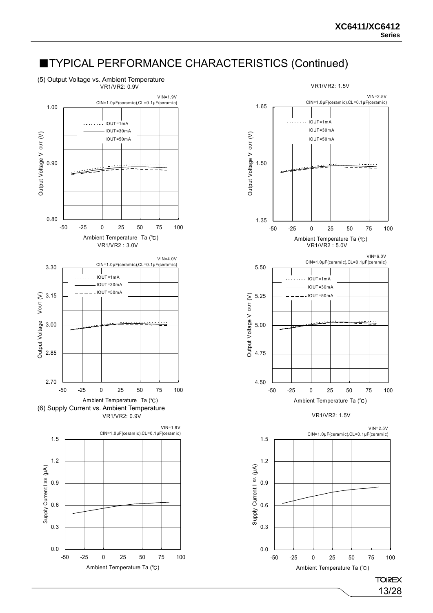(5) Output Voltage vs. Ambient Temperature



-50 -25 0 25 50 75 100 Ambient Temperature Ta (℃)

0.0

0.3

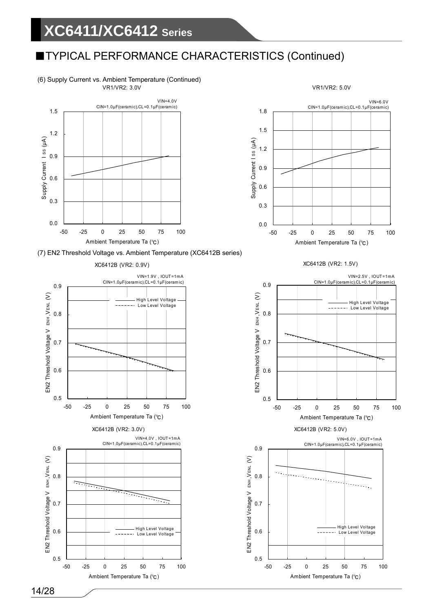# **XC6411/XC6412 Series**

## ■TYPICAL PERFORMANCE CHARACTERISTICS (Continued)

 (6) Supply Current vs. Ambient Temperature (Continued) VR1/VR2: 3.0V









VR1/VR2: 5.0V

XC6412B (VR2: 1.5V)



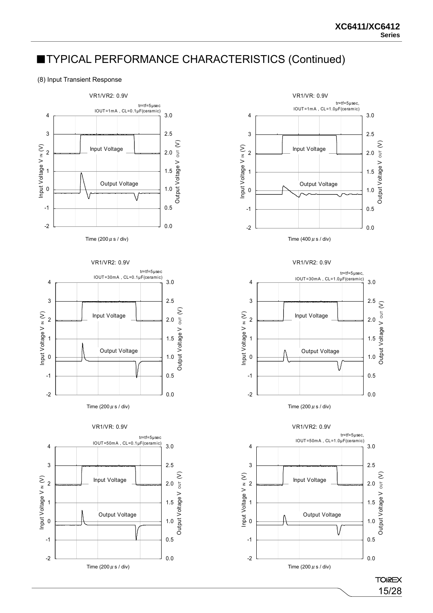#### (8) Input Transient Response



Time (200  $\mu$  s / div)











VR1/VR2: 0.9V



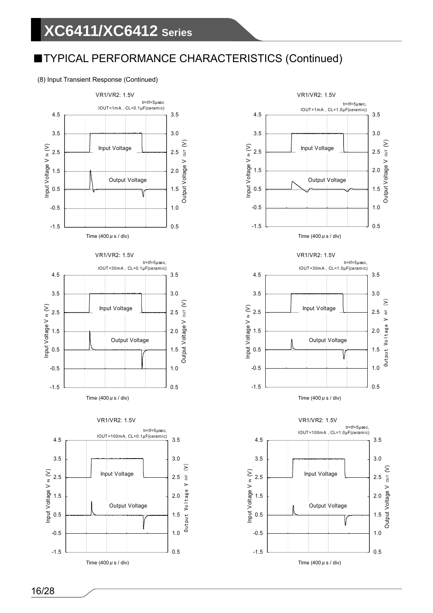### (8) Input Transient Response (Continued)



 tr=tf=5μsec, IOUT=1mA , CL=1.0μF(ceramic) 4.5 3.5 3.5 3.0 оит  $(V)$ Output Voltage V OUT (V) Input Voltage V N (V) Input Voltage V IN (V) Input Voltage 2.5 2.5 Output Voltage V 1.5 2.0 Output Voltage 0.5 1.5 -0.5 1.0 -1.5 0.5 VR1/VR2: 1.5V  $tr=tf=5 \text{mu}$ IOUT=30mA , CL=1.0μF(ceramic) 4.5 3.5 3.5 3.0 oυτ (V) Input Voltage V IN (V) Input Voltage 2.5 2.5 Output Voltage V OUT Output Voltage V 2.0 1.5 Output Voltage 1.5 0.5 V 1.0 -0.5 -1.5 0.5 VR1/VR2: 1.5V tr=tf=5μsec, IOUT=100mA , CL=1.0μF(ceramic) 4.5 3.5 3.0 3.5  $our (V)$ Output Voltage V OUT (V) Input Voltage V IN (V) Input Voltage 2.5 2.5 Output Voltage V 2.0 1.5 Output Voltage 1.5 0.5

VR1/VR2: 1.5V

0.5

1.0

-1.5

-0.5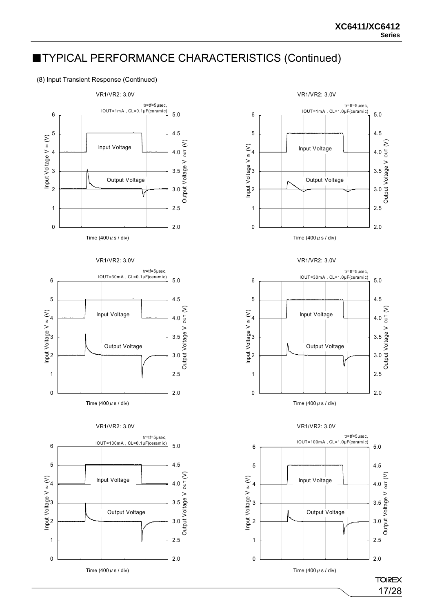#### (8) Input Transient Response (Continued)



















0

Input Voltage V IN (V)

2.0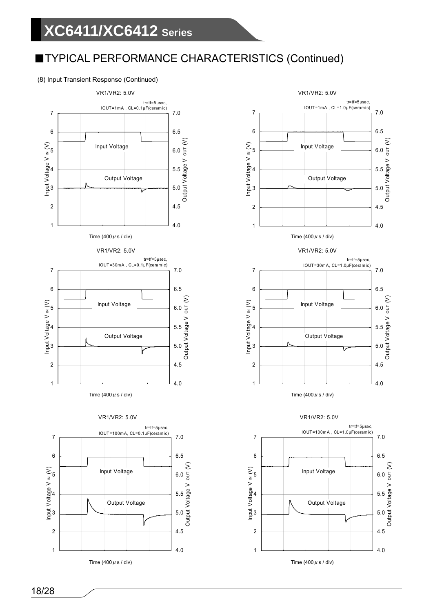### (8) Input Transient Response (Continued)



Time (400  $\mu$  s / div)

4.0

4.5



Time (400  $\mu$  s / div) Time (400  $\mu$  s / div)

1

2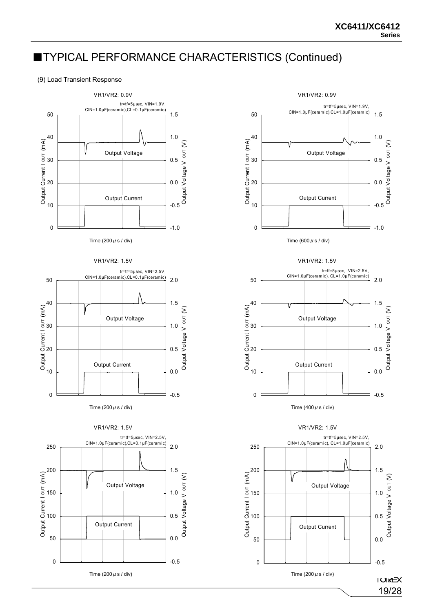#### (9) Load Transient Response























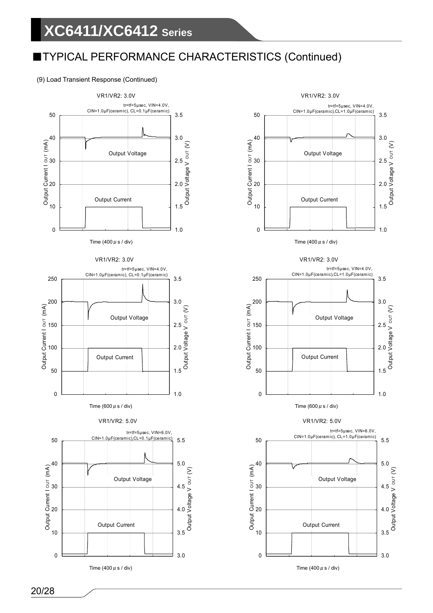### (9) Load Transient Response (Continued)





![](_page_19_Figure_5.jpeg)

![](_page_19_Figure_6.jpeg)

VR1/VR2: 5.0V

![](_page_19_Figure_9.jpeg)

0

Time (400  $\mu$  s / div)

3.0

3.5

10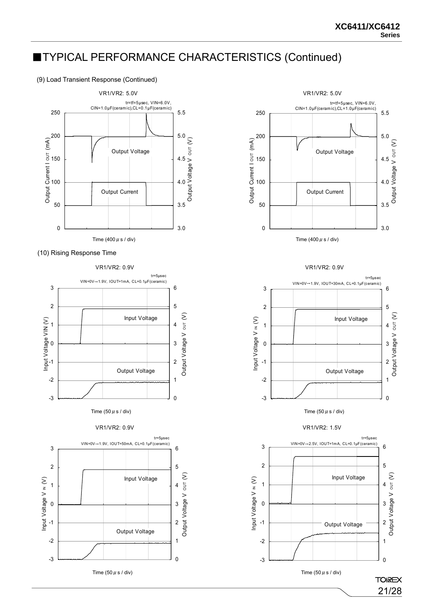(9) Load Transient Response (Continued)

![](_page_20_Figure_3.jpeg)

(10) Rising Response Time

-3

-2

-1

0

![](_page_20_Figure_5.jpeg)

Time  $(50 \mu s /$  div)

Output Voltage

0

1

2

3

![](_page_20_Figure_6.jpeg)

VR1/VR2: 0.9V

![](_page_20_Figure_8.jpeg)

![](_page_20_Figure_9.jpeg)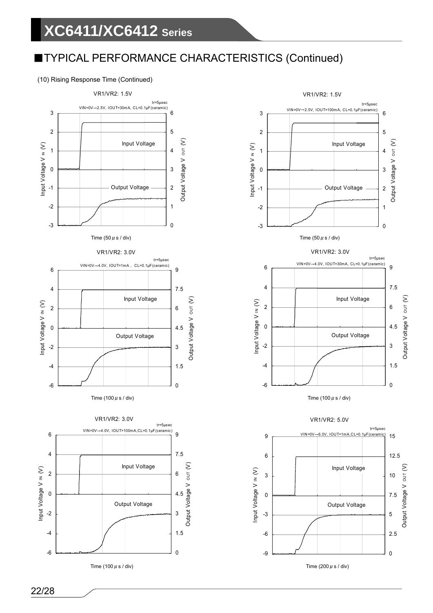### (10) Rising Response Time (Continued)

![](_page_21_Figure_3.jpeg)

![](_page_21_Figure_4.jpeg)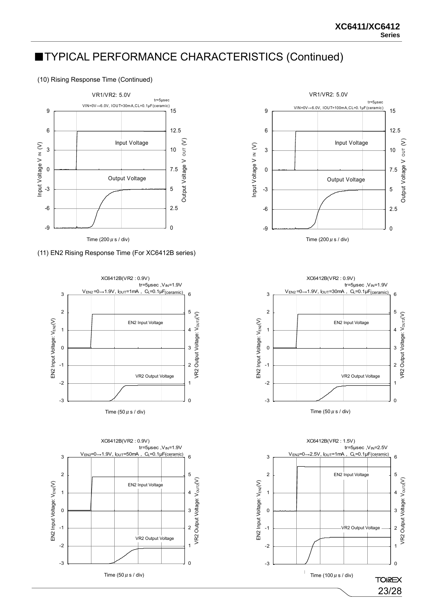(10) Rising Response Time (Continued)

![](_page_22_Figure_3.jpeg)

#### (11) EN2 Rising Response Time (For XC6412B series)

![](_page_22_Figure_5.jpeg)

![](_page_22_Figure_6.jpeg)

![](_page_22_Figure_7.jpeg)

![](_page_22_Figure_8.jpeg)

![](_page_22_Figure_9.jpeg)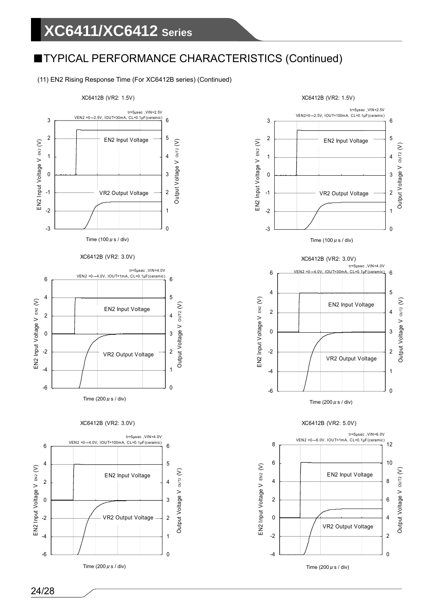(11) EN2 Rising Response Time (For XC6412B series) (Continued)

![](_page_23_Figure_3.jpeg)

Time (200  $\mu$  s / div)

![](_page_23_Figure_5.jpeg)

 $\overline{0}$ 

2

VR2 Output Voltage

4

-4

-2

0

XC6412B (VR2: 1.5V)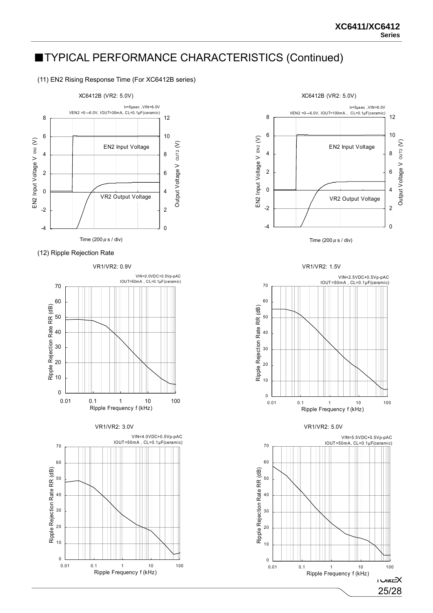(11) EN2 Rising Response Time (For XC6412B series)

![](_page_24_Figure_3.jpeg)

(12) Ripple Rejection Rate

![](_page_24_Figure_5.jpeg)

![](_page_24_Figure_6.jpeg)

![](_page_24_Figure_7.jpeg)

![](_page_24_Figure_8.jpeg)

VR1/VR2: 1.5V

![](_page_24_Figure_10.jpeg)

VR1/VR2: 5.0V

![](_page_24_Figure_12.jpeg)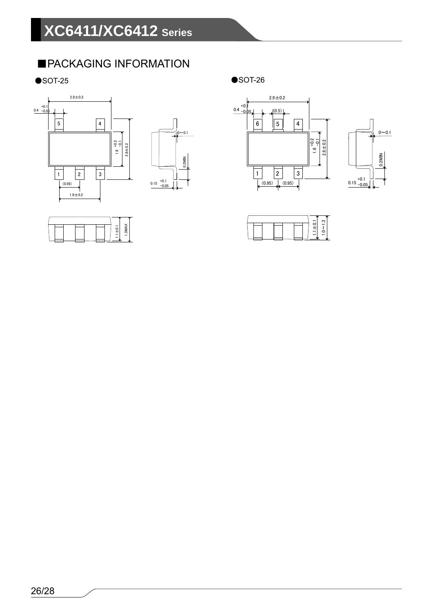## ■PACKAGING INFORMATION

 $\bullet$ SOT-25  $\bullet$ SOT-26

![](_page_25_Figure_3.jpeg)

![](_page_25_Figure_4.jpeg)

![](_page_25_Figure_5.jpeg)

![](_page_25_Figure_7.jpeg)

![](_page_25_Figure_8.jpeg)

![](_page_25_Figure_9.jpeg)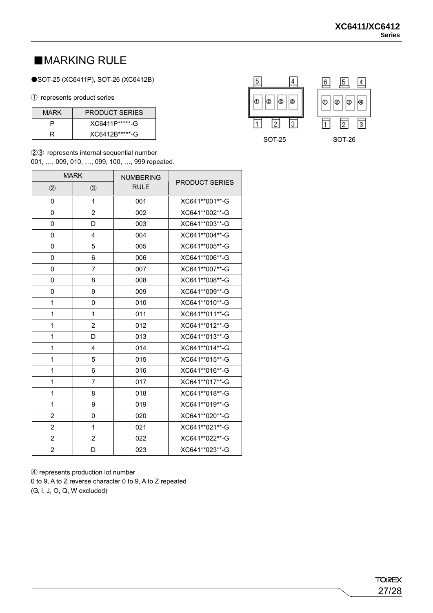## ■MARKING RULE

### ●SOT-25 (XC6411P), SOT-26 (XC6412B)

#### ① represents product series

| <b>MARK</b> | <b>PRODUCT SERIES</b> |
|-------------|-----------------------|
|             | XC6411P******-G       |
|             | XC6412R******-G       |

②③ represents internal sequential number

001, …, 009, 010, …, 099, 100, …, 999 repeated.

|                | <b>MARK</b>    | <b>NUMBERING</b> |                       |
|----------------|----------------|------------------|-----------------------|
| $^{\circledR}$ | $\circled{3}$  | <b>RULE</b>      | <b>PRODUCT SERIES</b> |
| 0              | 1              | 001              | XC641**001**-G        |
| 0              | $\overline{c}$ | 002              | XC641**002**-G        |
| 0              | D              | 003              | XC641**003**-G        |
| 0              | 4              | 004              | XC641**004**-G        |
| 0              | 5              | 005              | XC641**005**-G        |
| 0              | 6              | 006              | XC641**006**-G        |
| 0              | $\overline{7}$ | 007              | XC641**007**-G        |
| 0              | 8              | 008              | XC641**008**-G        |
| 0              | 9              | 009              | XC641**009**-G        |
| 1              | 0              | 010              | XC641**010**-G        |
| 1              | 1              | 011              | XC641**011**-G        |
| 1              | $\overline{2}$ | 012              | XC641**012**-G        |
| 1              | D              | 013              | XC641**013**-G        |
| 1              | 4              | 014              | XC641**014**-G        |
| 1              | 5              | 015              | XC641**015**-G        |
| 1              | 6              | 016              | XC641**016**-G        |
| 1              | 7              | 017              | XC641**017**-G        |
| 1              | 8              | 018              | XC641**018**-G        |
| 1              | 9              | 019              | XC641**019**-G        |
| $\overline{2}$ | 0              | 020              | XC641**020**-G        |
| $\overline{2}$ | 1              | 021              | XC641**021**-G        |
| $\overline{2}$ | 2              | 022              | XC641**022**-G        |
| $\overline{2}$ | D              | 023              | XC641**023**-G        |

 $\sqrt{5}$  $\boxed{4}$ 6 5  $\vert 4 \vert$ ø ø |® 0 ∣o ø 0 ∣⊛ ொ 11  $\overline{2}$ I1. 2 3 SOT-25 SOT-26

④ represents production lot number 0 to 9, A to Z reverse character 0 to 9, A to Z repeated (G, I, J, O, Q, W excluded)